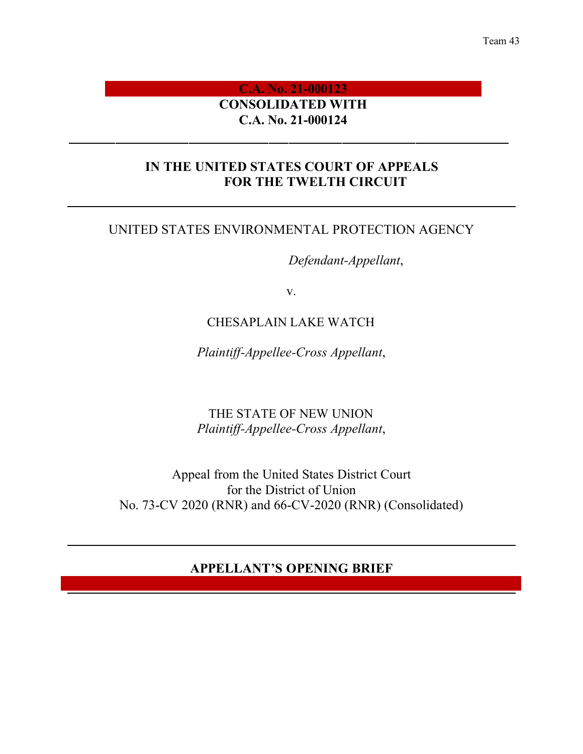#### Team 43

# **C.A. No. 21-000123 CONSOLIDATED WITH C.A. No. 21-000124**

# **IN THE UNITED STATES COURT OF APPEALS FOR THE TWELTH CIRCUIT**

# UNITED STATES ENVIRONMENTAL PROTECTION AGENCY

*Defendant-Appellant*,

v.

# CHESAPLAIN LAKE WATCH

*Plaintiff-Appellee-Cross Appellant*,

THE STATE OF NEW UNION *Plaintiff-Appellee-Cross Appellant*,

Appeal from the United States District Court for the District of Union No. 73-CV 2020 (RNR) and 66-CV-2020 (RNR) (Consolidated)

# **APPELLANT'S OPENING BRIEF**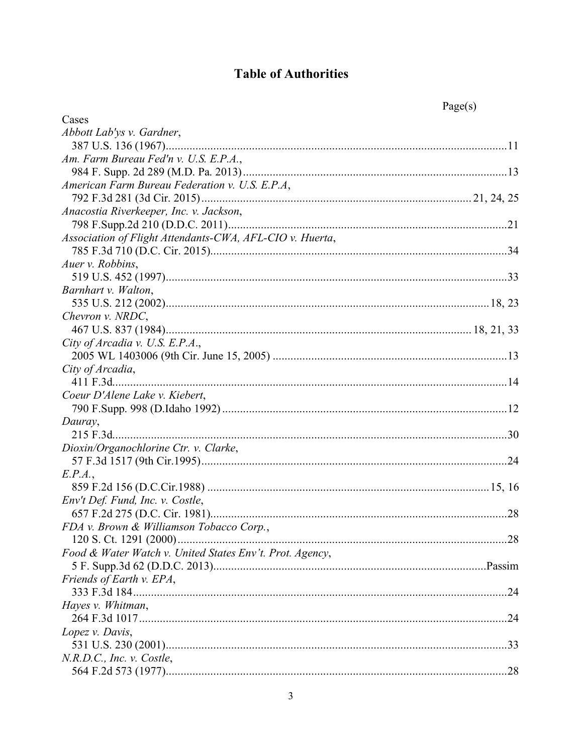# **Table of Authorities**

|                                                          | Page(s) |
|----------------------------------------------------------|---------|
| Cases                                                    |         |
| Abbott Lab'ys v. Gardner,                                |         |
|                                                          |         |
| Am. Farm Bureau Fed'n v. U.S. E.P.A.,                    |         |
|                                                          |         |
| American Farm Bureau Federation v. U.S. E.P.A.           |         |
|                                                          |         |
| Anacostia Riverkeeper, Inc. v. Jackson,                  |         |
|                                                          |         |
| Association of Flight Attendants-CWA, AFL-CIO v. Huerta, |         |
|                                                          |         |
| Auer v. Robbins,                                         |         |
|                                                          |         |
| Barnhart v. Walton,                                      |         |
|                                                          |         |
| Chevron v. NRDC,                                         |         |
|                                                          |         |
| City of Arcadia v. U.S. E.P.A.,                          |         |
|                                                          |         |
| City of Arcadia,                                         |         |
| 411 F.3d                                                 |         |
| Coeur D'Alene Lake v. Kiebert,                           |         |
|                                                          |         |
| Dauray,                                                  |         |
|                                                          |         |
| Dioxin/Organochlorine Ctr. v. Clarke,                    |         |
|                                                          |         |
| E.P.A.,                                                  |         |
|                                                          |         |
| Env't Def. Fund, Inc. v. Costle,                         |         |
|                                                          | .28     |
| FDA v. Brown & Williamson Tobacco Corp.,                 |         |
|                                                          |         |
| Food & Water Watch v. United States Env't. Prot. Agency, |         |
|                                                          |         |
| Friends of Earth v. EPA,                                 |         |
|                                                          |         |
| Hayes v. Whitman,                                        |         |
|                                                          |         |
| Lopez v. Davis,                                          |         |
|                                                          |         |
| N.R.D.C., Inc. v. Costle,                                |         |
|                                                          |         |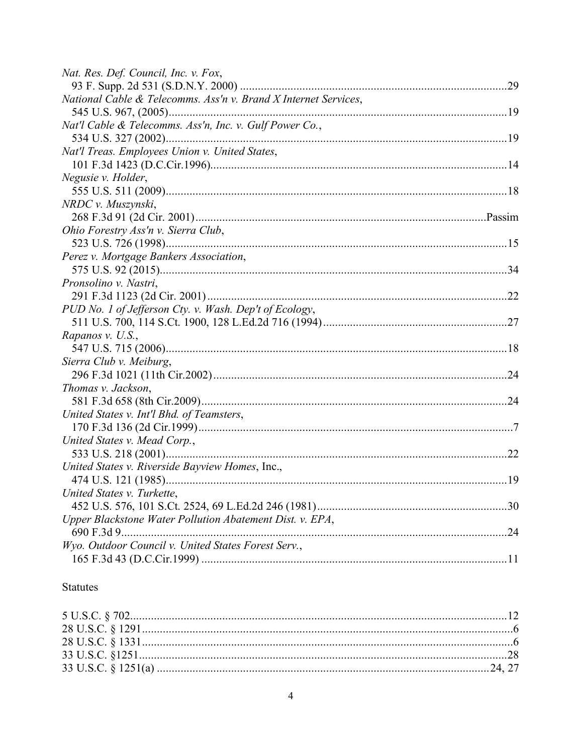| Nat. Res. Def. Council, Inc. v. Fox,                            |  |
|-----------------------------------------------------------------|--|
|                                                                 |  |
| National Cable & Telecomms. Ass'n v. Brand X Internet Services, |  |
|                                                                 |  |
| Nat'l Cable & Telecomms. Ass'n, Inc. v. Gulf Power Co.,         |  |
|                                                                 |  |
| Nat'l Treas. Employees Union v. United States,                  |  |
|                                                                 |  |
| Negusie v. Holder,                                              |  |
|                                                                 |  |
| NRDC v. Muszynski,                                              |  |
|                                                                 |  |
| Ohio Forestry Ass'n v. Sierra Club,                             |  |
|                                                                 |  |
| Perez v. Mortgage Bankers Association,                          |  |
|                                                                 |  |
| Pronsolino v. Nastri,                                           |  |
|                                                                 |  |
| PUD No. 1 of Jefferson Cty. v. Wash. Dep't of Ecology,          |  |
|                                                                 |  |
| Rapanos v. U.S.,                                                |  |
|                                                                 |  |
| Sierra Club v. Meiburg,                                         |  |
|                                                                 |  |
| Thomas v. Jackson,                                              |  |
|                                                                 |  |
| United States v. Int'l Bhd. of Teamsters,                       |  |
|                                                                 |  |
| United States v. Mead Corp.,                                    |  |
|                                                                 |  |
| United States v. Riverside Bayview Homes, Inc.,                 |  |
|                                                                 |  |
| United States v. Turkette,                                      |  |
|                                                                 |  |
| Upper Blackstone Water Pollution Abatement Dist. v. EPA,        |  |
|                                                                 |  |
| Wyo. Outdoor Council v. United States Forest Serv.,             |  |
|                                                                 |  |

# Statutes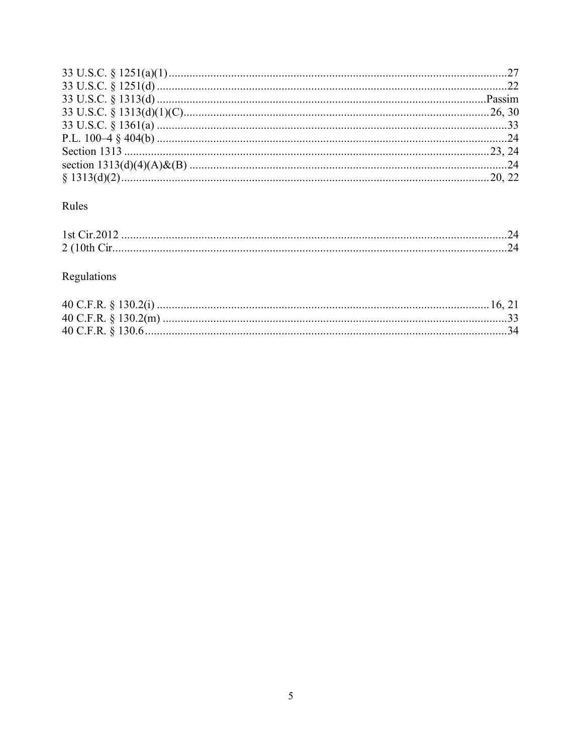# Rules

| 2(10 <sup>th</sup> ) |  |
|----------------------|--|

# Regulations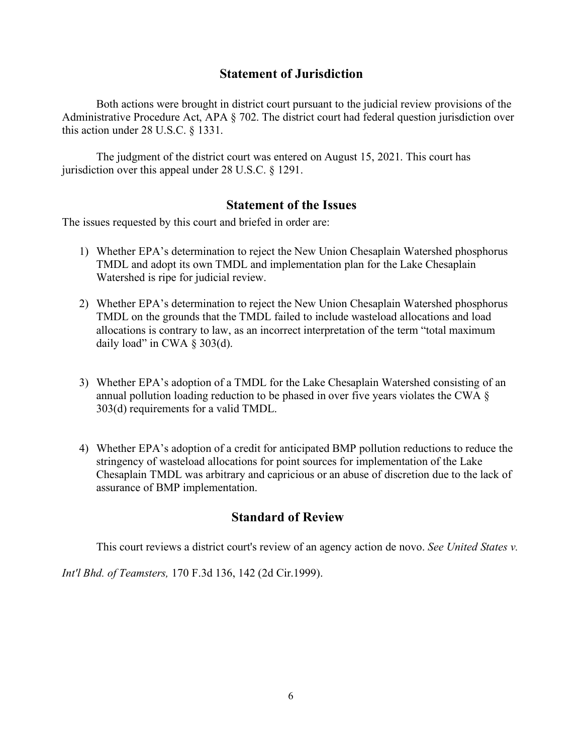## **Statement of Jurisdiction**

Both actions were brought in district court pursuant to the judicial review provisions of the Administrative Procedure Act, APA § 702. The district court had federal question jurisdiction over this action under 28 U.S.C. § 1331.

The judgment of the district court was entered on August 15, 2021. This court has jurisdiction over this appeal under 28 U.S.C. § 1291.

## **Statement of the Issues**

The issues requested by this court and briefed in order are:

- 1) Whether EPA's determination to reject the New Union Chesaplain Watershed phosphorus TMDL and adopt its own TMDL and implementation plan for the Lake Chesaplain Watershed is ripe for judicial review.
- 2) Whether EPA's determination to reject the New Union Chesaplain Watershed phosphorus TMDL on the grounds that the TMDL failed to include wasteload allocations and load allocations is contrary to law, as an incorrect interpretation of the term "total maximum daily load" in CWA  $\S$  303(d).
- 3) Whether EPA's adoption of a TMDL for the Lake Chesaplain Watershed consisting of an annual pollution loading reduction to be phased in over five years violates the CWA § 303(d) requirements for a valid TMDL.
- 4) Whether EPA's adoption of a credit for anticipated BMP pollution reductions to reduce the stringency of wasteload allocations for point sources for implementation of the Lake Chesaplain TMDL was arbitrary and capricious or an abuse of discretion due to the lack of assurance of BMP implementation.

# **Standard of Review**

This court reviews a district court's review of an agency action de novo. *See United States v.*

*Int'l Bhd. of Teamsters,* 170 F.3d 136, 142 (2d Cir.1999).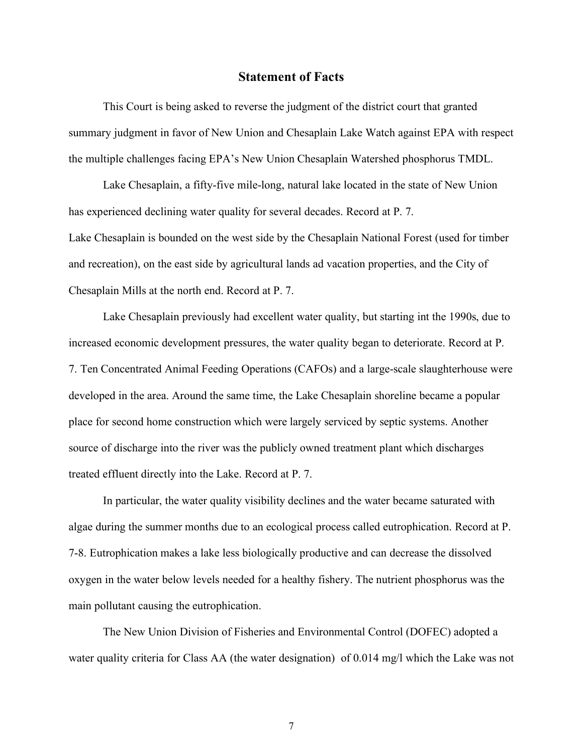#### **Statement of Facts**

This Court is being asked to reverse the judgment of the district court that granted summary judgment in favor of New Union and Chesaplain Lake Watch against EPA with respect the multiple challenges facing EPA's New Union Chesaplain Watershed phosphorus TMDL.

Lake Chesaplain, a fifty-five mile-long, natural lake located in the state of New Union has experienced declining water quality for several decades. Record at P. 7. Lake Chesaplain is bounded on the west side by the Chesaplain National Forest (used for timber and recreation), on the east side by agricultural lands ad vacation properties, and the City of Chesaplain Mills at the north end. Record at P. 7.

Lake Chesaplain previously had excellent water quality, but starting int the 1990s, due to increased economic development pressures, the water quality began to deteriorate. Record at P. 7. Ten Concentrated Animal Feeding Operations (CAFOs) and a large-scale slaughterhouse were developed in the area. Around the same time, the Lake Chesaplain shoreline became a popular place for second home construction which were largely serviced by septic systems. Another source of discharge into the river was the publicly owned treatment plant which discharges treated effluent directly into the Lake. Record at P. 7.

In particular, the water quality visibility declines and the water became saturated with algae during the summer months due to an ecological process called eutrophication. Record at P. 7-8. Eutrophication makes a lake less biologically productive and can decrease the dissolved oxygen in the water below levels needed for a healthy fishery. The nutrient phosphorus was the main pollutant causing the eutrophication.

The New Union Division of Fisheries and Environmental Control (DOFEC) adopted a water quality criteria for Class AA (the water designation) of 0.014 mg/l which the Lake was not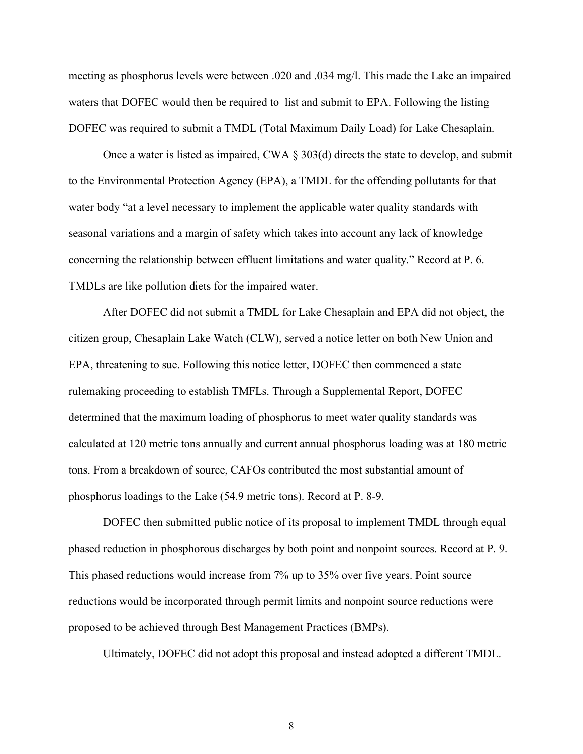meeting as phosphorus levels were between .020 and .034 mg/l. This made the Lake an impaired waters that DOFEC would then be required to list and submit to EPA. Following the listing DOFEC was required to submit a TMDL (Total Maximum Daily Load) for Lake Chesaplain.

Once a water is listed as impaired, CWA  $\S 303(d)$  directs the state to develop, and submit to the Environmental Protection Agency (EPA), a TMDL for the offending pollutants for that water body "at a level necessary to implement the applicable water quality standards with seasonal variations and a margin of safety which takes into account any lack of knowledge concerning the relationship between effluent limitations and water quality." Record at P. 6. TMDLs are like pollution diets for the impaired water.

After DOFEC did not submit a TMDL for Lake Chesaplain and EPA did not object, the citizen group, Chesaplain Lake Watch (CLW), served a notice letter on both New Union and EPA, threatening to sue. Following this notice letter, DOFEC then commenced a state rulemaking proceeding to establish TMFLs. Through a Supplemental Report, DOFEC determined that the maximum loading of phosphorus to meet water quality standards was calculated at 120 metric tons annually and current annual phosphorus loading was at 180 metric tons. From a breakdown of source, CAFOs contributed the most substantial amount of phosphorus loadings to the Lake (54.9 metric tons). Record at P. 8-9.

DOFEC then submitted public notice of its proposal to implement TMDL through equal phased reduction in phosphorous discharges by both point and nonpoint sources. Record at P. 9. This phased reductions would increase from 7% up to 35% over five years. Point source reductions would be incorporated through permit limits and nonpoint source reductions were proposed to be achieved through Best Management Practices (BMPs).

Ultimately, DOFEC did not adopt this proposal and instead adopted a different TMDL.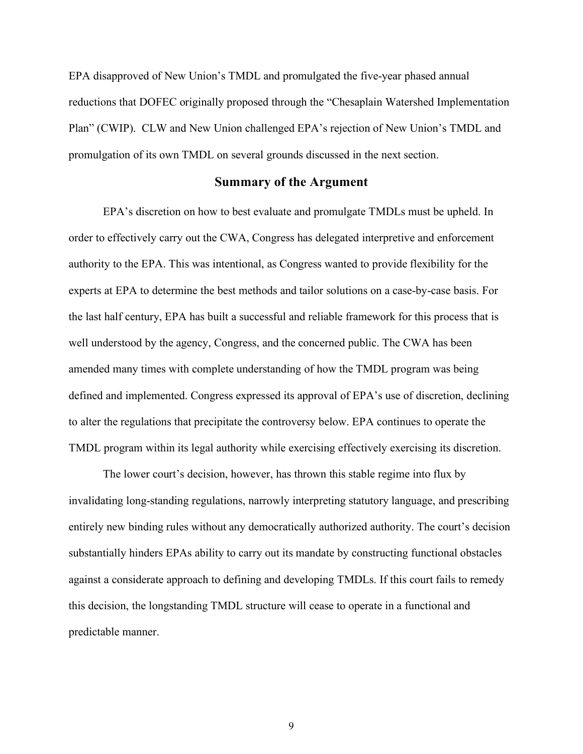EPA disapproved of New Union's TMDL and promulgated the five-year phased annual reductions that DOFEC originally proposed through the "Chesaplain Watershed Implementation Plan" (CWIP). CLW and New Union challenged EPA's rejection of New Union's TMDL and promulgation of its own TMDL on several grounds discussed in the next section.

#### **Summary of the Argument**

EPA's discretion on how to best evaluate and promulgate TMDLs must be upheld. In order to effectively carry out the CWA, Congress has delegated interpretive and enforcement authority to the EPA. This was intentional, as Congress wanted to provide flexibility for the experts at EPA to determine the best methods and tailor solutions on a case-by-case basis. For the last half century, EPA has built a successful and reliable framework for this process that is well understood by the agency, Congress, and the concerned public. The CWA has been amended many times with complete understanding of how the TMDL program was being defined and implemented. Congress expressed its approval of EPA's use of discretion, declining to alter the regulations that precipitate the controversy below. EPA continues to operate the TMDL program within its legal authority while exercising effectively exercising its discretion.

The lower court's decision, however, has thrown this stable regime into flux by invalidating long-standing regulations, narrowly interpreting statutory language, and prescribing entirely new binding rules without any democratically authorized authority. The court's decision substantially hinders EPAs ability to carry out its mandate by constructing functional obstacles against a considerate approach to defining and developing TMDLs. If this court fails to remedy this decision, the longstanding TMDL structure will cease to operate in a functional and predictable manner.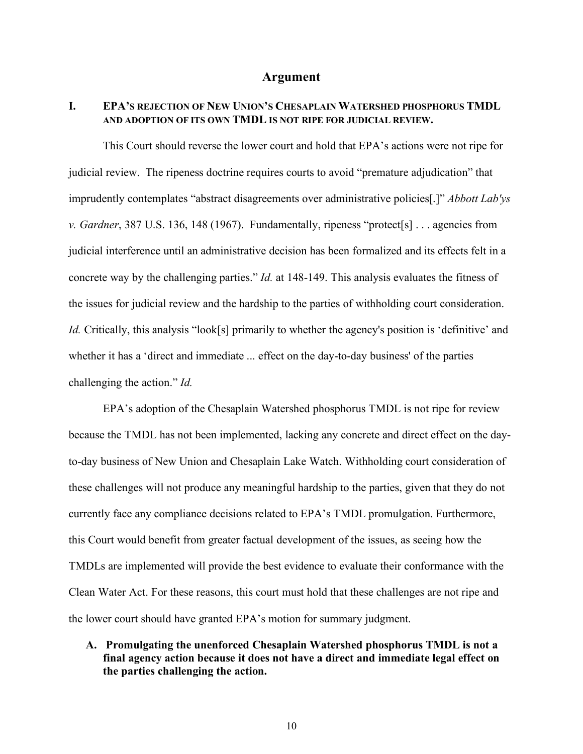#### **Argument**

## **I. EPA'S REJECTION OF NEW UNION'S CHESAPLAIN WATERSHED PHOSPHORUS TMDL AND ADOPTION OF ITS OWN TMDL IS NOT RIPE FOR JUDICIAL REVIEW.**

This Court should reverse the lower court and hold that EPA's actions were not ripe for judicial review. The ripeness doctrine requires courts to avoid "premature adjudication" that imprudently contemplates "abstract disagreements over administrative policies[.]" *Abbott Lab'ys v. Gardner*, 387 U.S. 136, 148 (1967). Fundamentally, ripeness "protect[s] . . . agencies from judicial interference until an administrative decision has been formalized and its effects felt in a concrete way by the challenging parties." *Id.* at 148-149. This analysis evaluates the fitness of the issues for judicial review and the hardship to the parties of withholding court consideration. *Id.* Critically, this analysis "look[s] primarily to whether the agency's position is 'definitive' and whether it has a 'direct and immediate ... effect on the day-to-day business' of the parties challenging the action." *Id.* 

EPA's adoption of the Chesaplain Watershed phosphorus TMDL is not ripe for review because the TMDL has not been implemented, lacking any concrete and direct effect on the dayto-day business of New Union and Chesaplain Lake Watch. Withholding court consideration of these challenges will not produce any meaningful hardship to the parties, given that they do not currently face any compliance decisions related to EPA's TMDL promulgation. Furthermore, this Court would benefit from greater factual development of the issues, as seeing how the TMDLs are implemented will provide the best evidence to evaluate their conformance with the Clean Water Act. For these reasons, this court must hold that these challenges are not ripe and the lower court should have granted EPA's motion for summary judgment.

## **A. Promulgating the unenforced Chesaplain Watershed phosphorus TMDL is not a final agency action because it does not have a direct and immediate legal effect on the parties challenging the action.**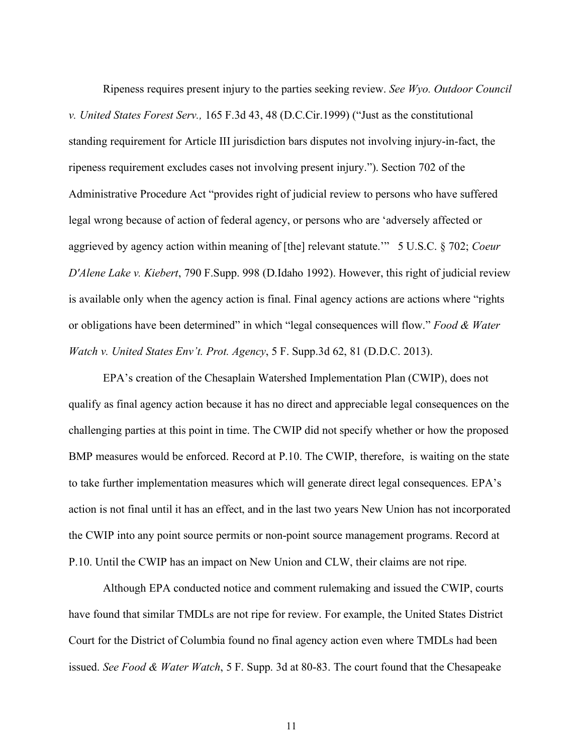Ripeness requires present injury to the parties seeking review. *See Wyo. Outdoor Council v. United States Forest Serv.,* 165 F.3d 43, 48 (D.C.Cir.1999) ("Just as the constitutional standing requirement for Article III jurisdiction bars disputes not involving injury-in-fact, the ripeness requirement excludes cases not involving present injury."). Section 702 of the Administrative Procedure Act "provides right of judicial review to persons who have suffered legal wrong because of action of federal agency, or persons who are 'adversely affected or aggrieved by agency action within meaning of [the] relevant statute.'" 5 U.S.C. § 702; *Coeur D'Alene Lake v. Kiebert*, 790 F.Supp. 998 (D.Idaho 1992). However, this right of judicial review is available only when the agency action is final. Final agency actions are actions where "rights or obligations have been determined" in which "legal consequences will flow." *Food & Water Watch v. United States Env't. Prot. Agency*, 5 F. Supp.3d 62, 81 (D.D.C. 2013).

EPA's creation of the Chesaplain Watershed Implementation Plan (CWIP), does not qualify as final agency action because it has no direct and appreciable legal consequences on the challenging parties at this point in time. The CWIP did not specify whether or how the proposed BMP measures would be enforced. Record at P.10. The CWIP, therefore, is waiting on the state to take further implementation measures which will generate direct legal consequences. EPA's action is not final until it has an effect, and in the last two years New Union has not incorporated the CWIP into any point source permits or non-point source management programs. Record at P.10. Until the CWIP has an impact on New Union and CLW, their claims are not ripe.

Although EPA conducted notice and comment rulemaking and issued the CWIP, courts have found that similar TMDLs are not ripe for review. For example, the United States District Court for the District of Columbia found no final agency action even where TMDLs had been issued. *See Food & Water Watch*, 5 F. Supp. 3d at 80-83. The court found that the Chesapeake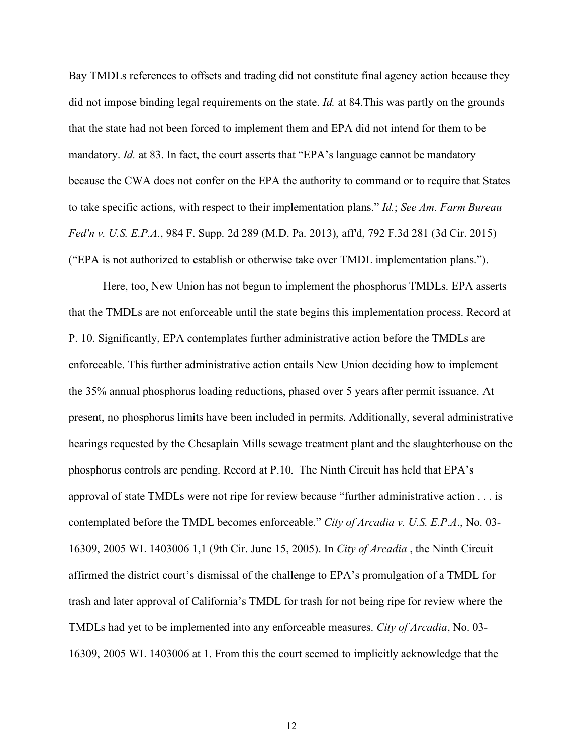Bay TMDLs references to offsets and trading did not constitute final agency action because they did not impose binding legal requirements on the state. *Id.* at 84.This was partly on the grounds that the state had not been forced to implement them and EPA did not intend for them to be mandatory. *Id.* at 83. In fact, the court asserts that "EPA's language cannot be mandatory because the CWA does not confer on the EPA the authority to command or to require that States to take specific actions, with respect to their implementation plans." *Id.*; *See Am. Farm Bureau Fed'n v. U.S. E.P.A.*, 984 F. Supp. 2d 289 (M.D. Pa. 2013), aff'd, 792 F.3d 281 (3d Cir. 2015) ("EPA is not authorized to establish or otherwise take over TMDL implementation plans.").

Here, too, New Union has not begun to implement the phosphorus TMDLs. EPA asserts that the TMDLs are not enforceable until the state begins this implementation process. Record at P. 10. Significantly, EPA contemplates further administrative action before the TMDLs are enforceable. This further administrative action entails New Union deciding how to implement the 35% annual phosphorus loading reductions, phased over 5 years after permit issuance. At present, no phosphorus limits have been included in permits. Additionally, several administrative hearings requested by the Chesaplain Mills sewage treatment plant and the slaughterhouse on the phosphorus controls are pending. Record at P.10. The Ninth Circuit has held that EPA's approval of state TMDLs were not ripe for review because "further administrative action . . . is contemplated before the TMDL becomes enforceable." *City of Arcadia v. U.S. E.P.A*., No. 03- 16309, 2005 WL 1403006 1,1 (9th Cir. June 15, 2005). In *City of Arcadia* , the Ninth Circuit affirmed the district court's dismissal of the challenge to EPA's promulgation of a TMDL for trash and later approval of California's TMDL for trash for not being ripe for review where the TMDLs had yet to be implemented into any enforceable measures. *City of Arcadia*, No. 03- 16309, 2005 WL 1403006 at 1. From this the court seemed to implicitly acknowledge that the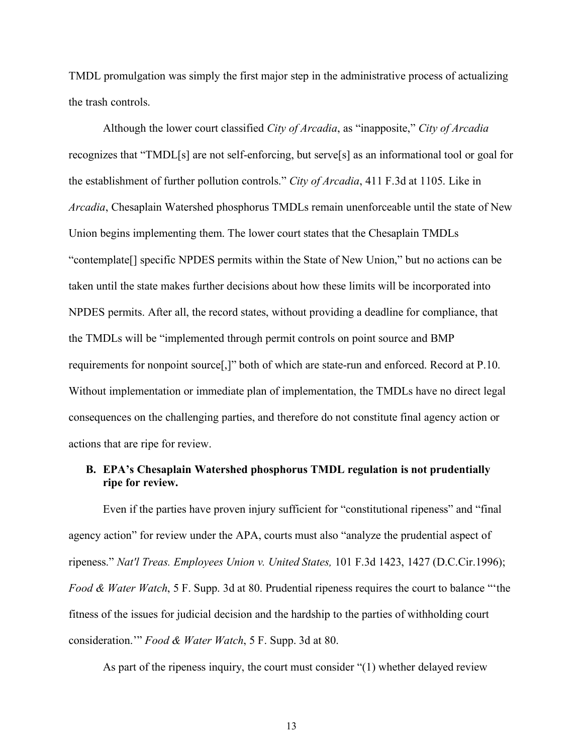TMDL promulgation was simply the first major step in the administrative process of actualizing the trash controls.

Although the lower court classified *City of Arcadia*, as "inapposite," *City of Arcadia* recognizes that "TMDL[s] are not self-enforcing, but serve[s] as an informational tool or goal for the establishment of further pollution controls." *City of Arcadia*, 411 F.3d at 1105. Like in *Arcadia*, Chesaplain Watershed phosphorus TMDLs remain unenforceable until the state of New Union begins implementing them. The lower court states that the Chesaplain TMDLs "contemplate[] specific NPDES permits within the State of New Union," but no actions can be taken until the state makes further decisions about how these limits will be incorporated into NPDES permits. After all, the record states, without providing a deadline for compliance, that the TMDLs will be "implemented through permit controls on point source and BMP requirements for nonpoint source[,]" both of which are state-run and enforced. Record at P.10. Without implementation or immediate plan of implementation, the TMDLs have no direct legal consequences on the challenging parties, and therefore do not constitute final agency action or actions that are ripe for review.

#### **B. EPA's Chesaplain Watershed phosphorus TMDL regulation is not prudentially ripe for review.**

Even if the parties have proven injury sufficient for "constitutional ripeness" and "final agency action" for review under the APA, courts must also "analyze the prudential aspect of ripeness." *Nat'l Treas. Employees Union v. United States,* 101 F.3d 1423, 1427 (D.C.Cir.1996); *Food & Water Watch*, 5 F. Supp. 3d at 80. Prudential ripeness requires the court to balance "'the fitness of the issues for judicial decision and the hardship to the parties of withholding court consideration.'" *Food & Water Watch*, 5 F. Supp. 3d at 80.

As part of the ripeness inquiry, the court must consider "(1) whether delayed review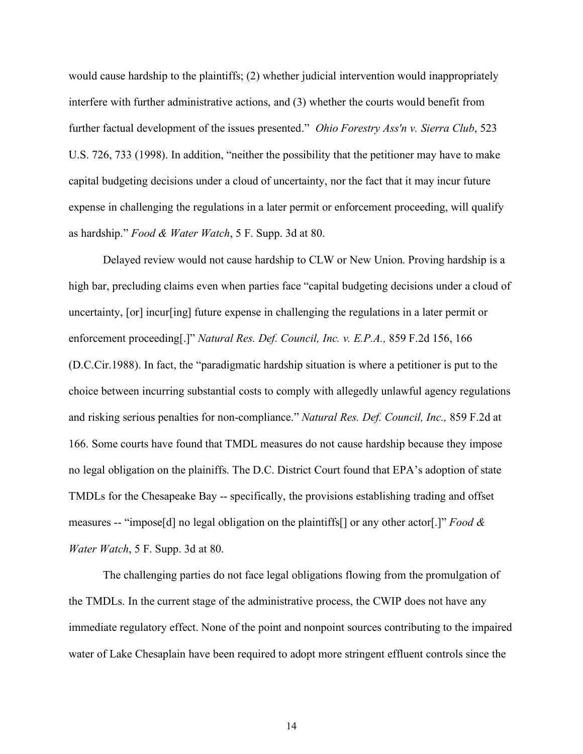would cause hardship to the plaintiffs; (2) whether judicial intervention would inappropriately interfere with further administrative actions, and (3) whether the courts would benefit from further factual development of the issues presented." *Ohio Forestry Ass'n v. Sierra Club*, 523 U.S. 726, 733 (1998). In addition, "neither the possibility that the petitioner may have to make capital budgeting decisions under a cloud of uncertainty, nor the fact that it may incur future expense in challenging the regulations in a later permit or enforcement proceeding, will qualify as hardship." *Food & Water Watch*, 5 F. Supp. 3d at 80.

Delayed review would not cause hardship to CLW or New Union. Proving hardship is a high bar, precluding claims even when parties face "capital budgeting decisions under a cloud of uncertainty, [or] incur[ing] future expense in challenging the regulations in a later permit or enforcement proceeding[.]" *Natural Res. Def. Council, Inc. v. E.P.A.,* 859 F.2d 156, 166 (D.C.Cir.1988). In fact, the "paradigmatic hardship situation is where a petitioner is put to the choice between incurring substantial costs to comply with allegedly unlawful agency regulations and risking serious penalties for non-compliance." *Natural Res. Def. Council, Inc.,* 859 F.2d at 166. Some courts have found that TMDL measures do not cause hardship because they impose no legal obligation on the plainiffs. The D.C. District Court found that EPA's adoption of state TMDLs for the Chesapeake Bay -- specifically, the provisions establishing trading and offset measures -- "impose[d] no legal obligation on the plaintiffs[] or any other actor[.]" *Food & Water Watch*, 5 F. Supp. 3d at 80.

The challenging parties do not face legal obligations flowing from the promulgation of the TMDLs. In the current stage of the administrative process, the CWIP does not have any immediate regulatory effect. None of the point and nonpoint sources contributing to the impaired water of Lake Chesaplain have been required to adopt more stringent effluent controls since the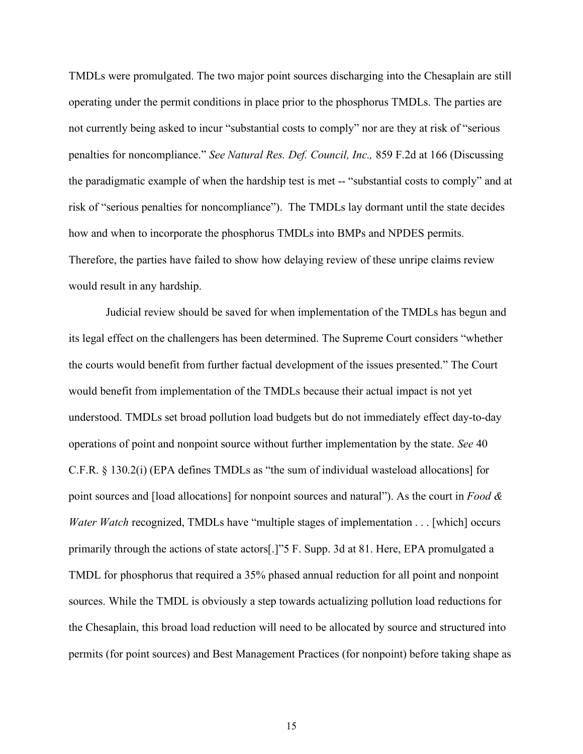TMDLs were promulgated. The two major point sources discharging into the Chesaplain are still operating under the permit conditions in place prior to the phosphorus TMDLs. The parties are not currently being asked to incur "substantial costs to comply" nor are they at risk of "serious penalties for noncompliance." *See Natural Res. Def. Council, Inc.,* 859 F.2d at 166 (Discussing the paradigmatic example of when the hardship test is met -- "substantial costs to comply" and at risk of "serious penalties for noncompliance"). The TMDLs lay dormant until the state decides how and when to incorporate the phosphorus TMDLs into BMPs and NPDES permits. Therefore, the parties have failed to show how delaying review of these unripe claims review would result in any hardship.

Judicial review should be saved for when implementation of the TMDLs has begun and its legal effect on the challengers has been determined. The Supreme Court considers "whether the courts would benefit from further factual development of the issues presented." The Court would benefit from implementation of the TMDLs because their actual impact is not yet understood. TMDLs set broad pollution load budgets but do not immediately effect day-to-day operations of point and nonpoint source without further implementation by the state. *See* 40 C.F.R. § 130.2(i) (EPA defines TMDLs as "the sum of individual wasteload allocations] for point sources and [load allocations] for nonpoint sources and natural"). As the court in *Food & Water Watch* recognized, TMDLs have "multiple stages of implementation . . . [which] occurs primarily through the actions of state actors[.]"5 F. Supp. 3d at 81. Here, EPA promulgated a TMDL for phosphorus that required a 35% phased annual reduction for all point and nonpoint sources. While the TMDL is obviously a step towards actualizing pollution load reductions for the Chesaplain, this broad load reduction will need to be allocated by source and structured into permits (for point sources) and Best Management Practices (for nonpoint) before taking shape as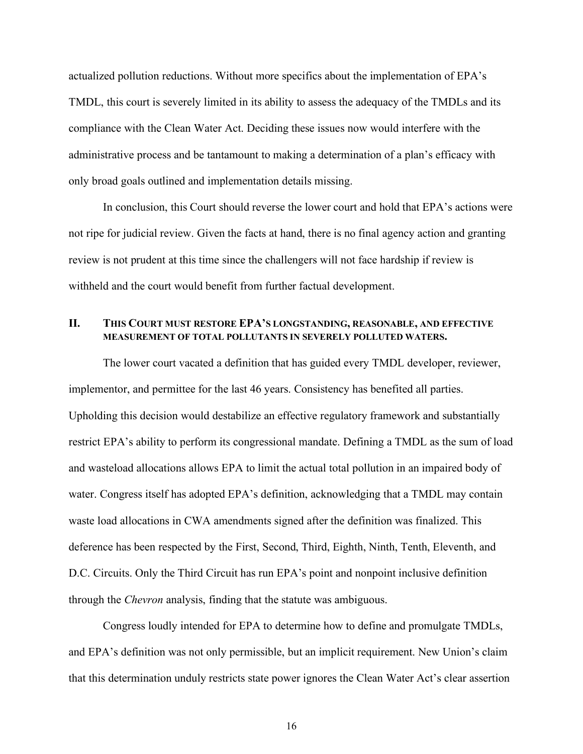actualized pollution reductions. Without more specifics about the implementation of EPA's TMDL, this court is severely limited in its ability to assess the adequacy of the TMDLs and its compliance with the Clean Water Act. Deciding these issues now would interfere with the administrative process and be tantamount to making a determination of a plan's efficacy with only broad goals outlined and implementation details missing.

In conclusion, this Court should reverse the lower court and hold that EPA's actions were not ripe for judicial review. Given the facts at hand, there is no final agency action and granting review is not prudent at this time since the challengers will not face hardship if review is withheld and the court would benefit from further factual development.

#### **II. THIS COURT MUST RESTORE EPA'S LONGSTANDING, REASONABLE, AND EFFECTIVE MEASUREMENT OF TOTAL POLLUTANTS IN SEVERELY POLLUTED WATERS.**

The lower court vacated a definition that has guided every TMDL developer, reviewer, implementor, and permittee for the last 46 years. Consistency has benefited all parties. Upholding this decision would destabilize an effective regulatory framework and substantially restrict EPA's ability to perform its congressional mandate. Defining a TMDL as the sum of load and wasteload allocations allows EPA to limit the actual total pollution in an impaired body of water. Congress itself has adopted EPA's definition, acknowledging that a TMDL may contain waste load allocations in CWA amendments signed after the definition was finalized. This deference has been respected by the First, Second, Third, Eighth, Ninth, Tenth, Eleventh, and D.C. Circuits. Only the Third Circuit has run EPA's point and nonpoint inclusive definition through the *Chevron* analysis, finding that the statute was ambiguous.

Congress loudly intended for EPA to determine how to define and promulgate TMDLs, and EPA's definition was not only permissible, but an implicit requirement. New Union's claim that this determination unduly restricts state power ignores the Clean Water Act's clear assertion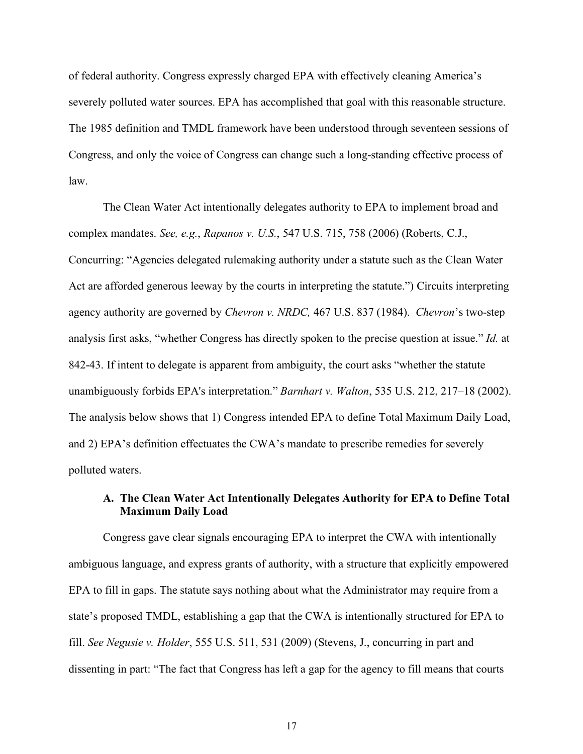of federal authority. Congress expressly charged EPA with effectively cleaning America's severely polluted water sources. EPA has accomplished that goal with this reasonable structure. The 1985 definition and TMDL framework have been understood through seventeen sessions of Congress, and only the voice of Congress can change such a long-standing effective process of law.

The Clean Water Act intentionally delegates authority to EPA to implement broad and complex mandates. *See, e.g.*, *Rapanos v. U.S.*, 547 U.S. 715, 758 (2006) (Roberts, C.J., Concurring: "Agencies delegated rulemaking authority under a statute such as the Clean Water Act are afforded generous leeway by the courts in interpreting the statute.") Circuits interpreting agency authority are governed by *Chevron v. NRDC,* 467 U.S. 837 (1984). *Chevron*'s two-step analysis first asks, "whether Congress has directly spoken to the precise question at issue." *Id.* at 842-43. If intent to delegate is apparent from ambiguity, the court asks "whether the statute unambiguously forbids EPA's interpretation." *Barnhart v. Walton*, 535 U.S. 212, 217–18 (2002). The analysis below shows that 1) Congress intended EPA to define Total Maximum Daily Load, and 2) EPA's definition effectuates the CWA's mandate to prescribe remedies for severely polluted waters.

## **A. The Clean Water Act Intentionally Delegates Authority for EPA to Define Total Maximum Daily Load**

Congress gave clear signals encouraging EPA to interpret the CWA with intentionally ambiguous language, and express grants of authority, with a structure that explicitly empowered EPA to fill in gaps. The statute says nothing about what the Administrator may require from a state's proposed TMDL, establishing a gap that the CWA is intentionally structured for EPA to fill. *See Negusie v. Holder*, 555 U.S. 511, 531 (2009) (Stevens, J., concurring in part and dissenting in part: "The fact that Congress has left a gap for the agency to fill means that courts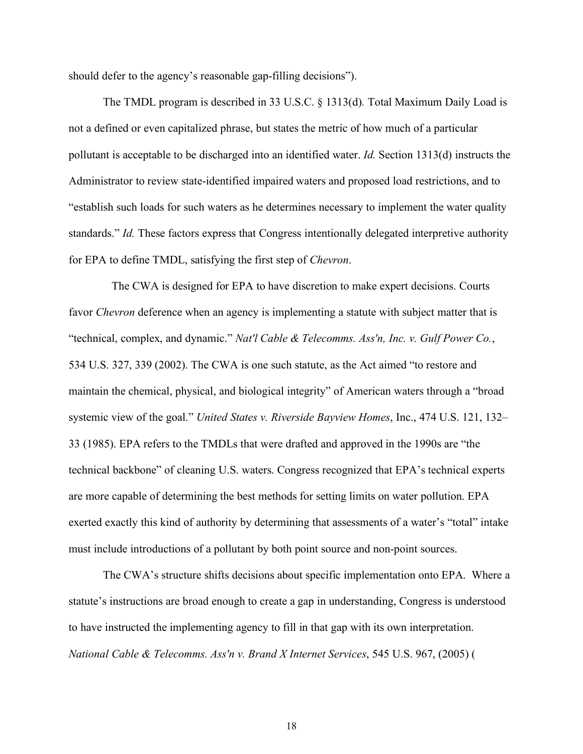should defer to the agency's reasonable gap-filling decisions").

The TMDL program is described in 33 U.S.C. § 1313(d)*.* Total Maximum Daily Load is not a defined or even capitalized phrase, but states the metric of how much of a particular pollutant is acceptable to be discharged into an identified water. *Id.* Section 1313(d) instructs the Administrator to review state-identified impaired waters and proposed load restrictions, and to "establish such loads for such waters as he determines necessary to implement the water quality standards." *Id.* These factors express that Congress intentionally delegated interpretive authority for EPA to define TMDL, satisfying the first step of *Chevron*.

 The CWA is designed for EPA to have discretion to make expert decisions. Courts favor *Chevron* deference when an agency is implementing a statute with subject matter that is "technical, complex, and dynamic." *Nat'l Cable & Telecomms. Ass'n, Inc. v. Gulf Power Co.*, 534 U.S. 327, 339 (2002). The CWA is one such statute, as the Act aimed "to restore and maintain the chemical, physical, and biological integrity" of American waters through a "broad systemic view of the goal." *United States v. Riverside Bayview Homes*, Inc., 474 U.S. 121, 132– 33 (1985). EPA refers to the TMDLs that were drafted and approved in the 1990s are "the technical backbone" of cleaning U.S. waters. Congress recognized that EPA's technical experts are more capable of determining the best methods for setting limits on water pollution. EPA exerted exactly this kind of authority by determining that assessments of a water's "total" intake must include introductions of a pollutant by both point source and non-point sources.

The CWA's structure shifts decisions about specific implementation onto EPA. Where a statute's instructions are broad enough to create a gap in understanding, Congress is understood to have instructed the implementing agency to fill in that gap with its own interpretation. *National Cable & Telecomms. Ass'n v. Brand X Internet Services*, 545 U.S. 967, (2005) (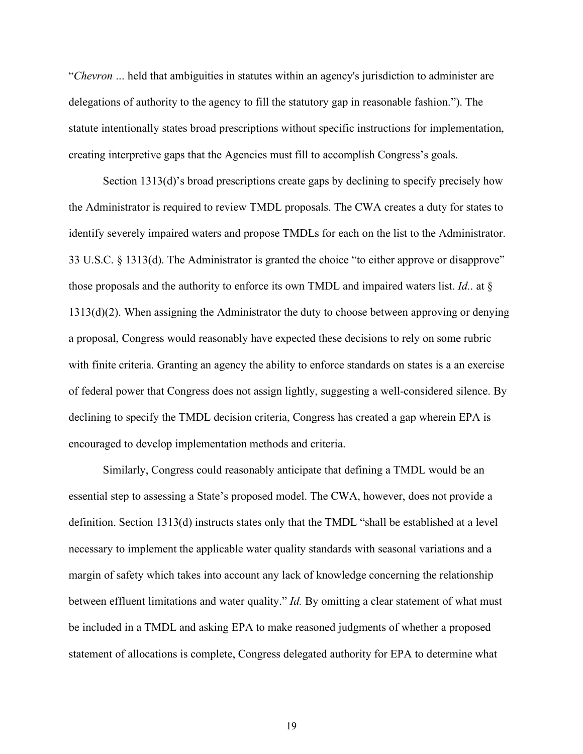"*Chevron* ... held that ambiguities in statutes within an agency's jurisdiction to administer are delegations of authority to the agency to fill the statutory gap in reasonable fashion."). The statute intentionally states broad prescriptions without specific instructions for implementation, creating interpretive gaps that the Agencies must fill to accomplish Congress's goals.

Section 1313(d)'s broad prescriptions create gaps by declining to specify precisely how the Administrator is required to review TMDL proposals. The CWA creates a duty for states to identify severely impaired waters and propose TMDLs for each on the list to the Administrator. 33 U.S.C. § 1313(d). The Administrator is granted the choice "to either approve or disapprove" those proposals and the authority to enforce its own TMDL and impaired waters list. *Id.*. at § 1313(d)(2). When assigning the Administrator the duty to choose between approving or denying a proposal, Congress would reasonably have expected these decisions to rely on some rubric with finite criteria. Granting an agency the ability to enforce standards on states is a an exercise of federal power that Congress does not assign lightly, suggesting a well-considered silence. By declining to specify the TMDL decision criteria, Congress has created a gap wherein EPA is encouraged to develop implementation methods and criteria.

Similarly, Congress could reasonably anticipate that defining a TMDL would be an essential step to assessing a State's proposed model. The CWA, however, does not provide a definition. Section 1313(d) instructs states only that the TMDL "shall be established at a level necessary to implement the applicable water quality standards with seasonal variations and a margin of safety which takes into account any lack of knowledge concerning the relationship between effluent limitations and water quality." *Id.* By omitting a clear statement of what must be included in a TMDL and asking EPA to make reasoned judgments of whether a proposed statement of allocations is complete, Congress delegated authority for EPA to determine what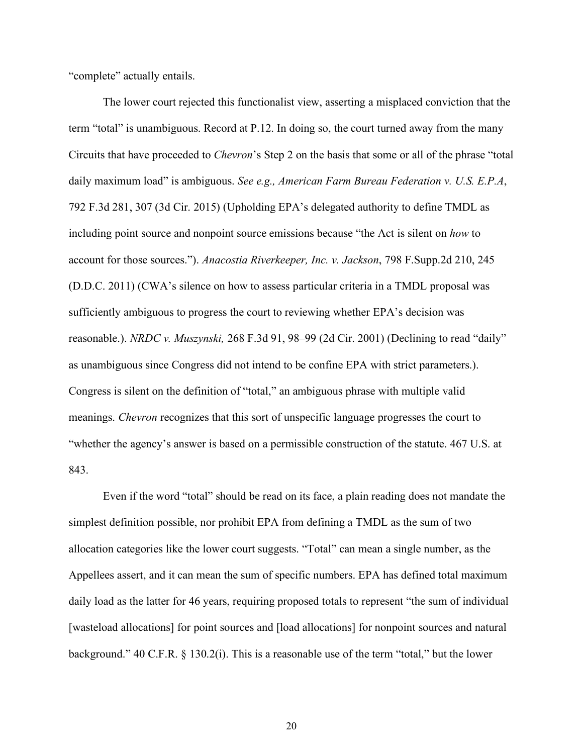"complete" actually entails.

The lower court rejected this functionalist view, asserting a misplaced conviction that the term "total" is unambiguous. Record at P.12. In doing so, the court turned away from the many Circuits that have proceeded to *Chevron*'s Step 2 on the basis that some or all of the phrase "total daily maximum load" is ambiguous. *See e.g., American Farm Bureau Federation v. U.S. E.P.A*, 792 F.3d 281, 307 (3d Cir. 2015) (Upholding EPA's delegated authority to define TMDL as including point source and nonpoint source emissions because "the Act is silent on *how* to account for those sources."). *Anacostia Riverkeeper, Inc. v. Jackson*, 798 F.Supp.2d 210, 245 (D.D.C. 2011) (CWA's silence on how to assess particular criteria in a TMDL proposal was sufficiently ambiguous to progress the court to reviewing whether EPA's decision was reasonable.). *NRDC v. Muszynski,* 268 F.3d 91, 98–99 (2d Cir. 2001) (Declining to read "daily" as unambiguous since Congress did not intend to be confine EPA with strict parameters.). Congress is silent on the definition of "total," an ambiguous phrase with multiple valid meanings. *Chevron* recognizes that this sort of unspecific language progresses the court to "whether the agency's answer is based on a permissible construction of the statute. 467 U.S. at 843.

Even if the word "total" should be read on its face, a plain reading does not mandate the simplest definition possible, nor prohibit EPA from defining a TMDL as the sum of two allocation categories like the lower court suggests. "Total" can mean a single number, as the Appellees assert, and it can mean the sum of specific numbers. EPA has defined total maximum daily load as the latter for 46 years, requiring proposed totals to represent "the sum of individual [wasteload allocations] for point sources and [load allocations] for nonpoint sources and natural background." 40 C.F.R. § 130.2(i). This is a reasonable use of the term "total," but the lower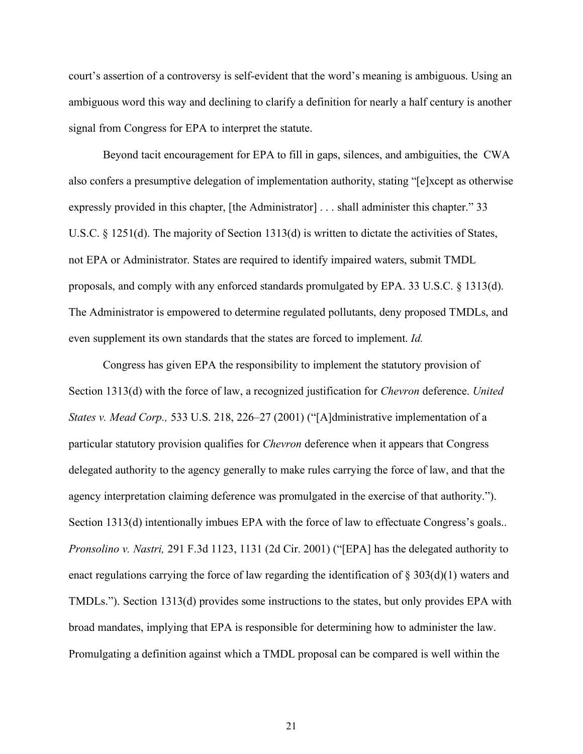court's assertion of a controversy is self-evident that the word's meaning is ambiguous. Using an ambiguous word this way and declining to clarify a definition for nearly a half century is another signal from Congress for EPA to interpret the statute.

Beyond tacit encouragement for EPA to fill in gaps, silences, and ambiguities, the CWA also confers a presumptive delegation of implementation authority, stating "[e]xcept as otherwise expressly provided in this chapter, [the Administrator] . . . shall administer this chapter." 33 U.S.C. § 1251(d). The majority of Section 1313(d) is written to dictate the activities of States, not EPA or Administrator. States are required to identify impaired waters, submit TMDL proposals, and comply with any enforced standards promulgated by EPA. 33 U.S.C. § 1313(d). The Administrator is empowered to determine regulated pollutants, deny proposed TMDLs, and even supplement its own standards that the states are forced to implement. *Id.* 

Congress has given EPA the responsibility to implement the statutory provision of Section 1313(d) with the force of law, a recognized justification for *Chevron* deference. *United States v. Mead Corp.,* 533 U.S. 218, 226–27 (2001) ("[A]dministrative implementation of a particular statutory provision qualifies for *Chevron* deference when it appears that Congress delegated authority to the agency generally to make rules carrying the force of law, and that the agency interpretation claiming deference was promulgated in the exercise of that authority."). Section 1313(d) intentionally imbues EPA with the force of law to effectuate Congress's goals.. *Pronsolino v. Nastri,* 291 F.3d 1123, 1131 (2d Cir. 2001) ("[EPA] has the delegated authority to enact regulations carrying the force of law regarding the identification of  $\S 303(d)(1)$  waters and TMDLs."). Section 1313(d) provides some instructions to the states, but only provides EPA with broad mandates, implying that EPA is responsible for determining how to administer the law. Promulgating a definition against which a TMDL proposal can be compared is well within the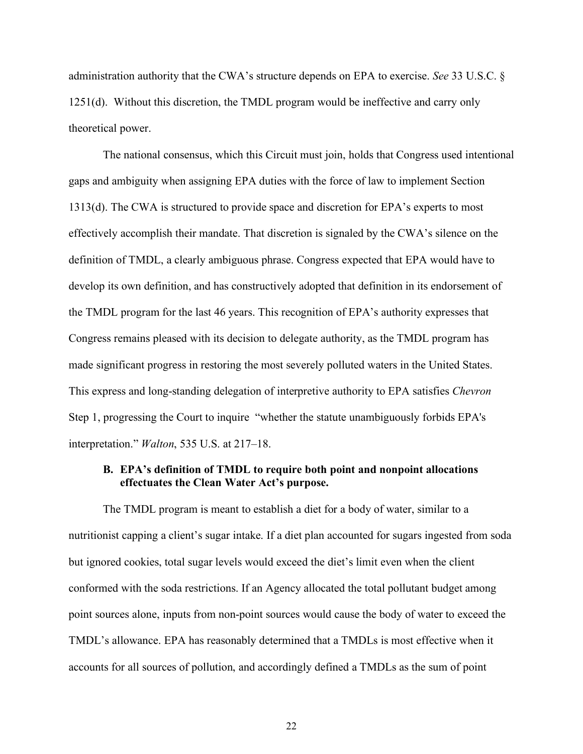administration authority that the CWA's structure depends on EPA to exercise. *See* 33 U.S.C. § 1251(d). Without this discretion, the TMDL program would be ineffective and carry only theoretical power.

The national consensus, which this Circuit must join, holds that Congress used intentional gaps and ambiguity when assigning EPA duties with the force of law to implement Section 1313(d). The CWA is structured to provide space and discretion for EPA's experts to most effectively accomplish their mandate. That discretion is signaled by the CWA's silence on the definition of TMDL, a clearly ambiguous phrase. Congress expected that EPA would have to develop its own definition, and has constructively adopted that definition in its endorsement of the TMDL program for the last 46 years. This recognition of EPA's authority expresses that Congress remains pleased with its decision to delegate authority, as the TMDL program has made significant progress in restoring the most severely polluted waters in the United States. This express and long-standing delegation of interpretive authority to EPA satisfies *Chevron*  Step 1, progressing the Court to inquire "whether the statute unambiguously forbids EPA's interpretation." *Walton*, 535 U.S. at 217–18.

#### **B. EPA's definition of TMDL to require both point and nonpoint allocations effectuates the Clean Water Act's purpose.**

The TMDL program is meant to establish a diet for a body of water, similar to a nutritionist capping a client's sugar intake. If a diet plan accounted for sugars ingested from soda but ignored cookies, total sugar levels would exceed the diet's limit even when the client conformed with the soda restrictions. If an Agency allocated the total pollutant budget among point sources alone, inputs from non-point sources would cause the body of water to exceed the TMDL's allowance. EPA has reasonably determined that a TMDLs is most effective when it accounts for all sources of pollution, and accordingly defined a TMDLs as the sum of point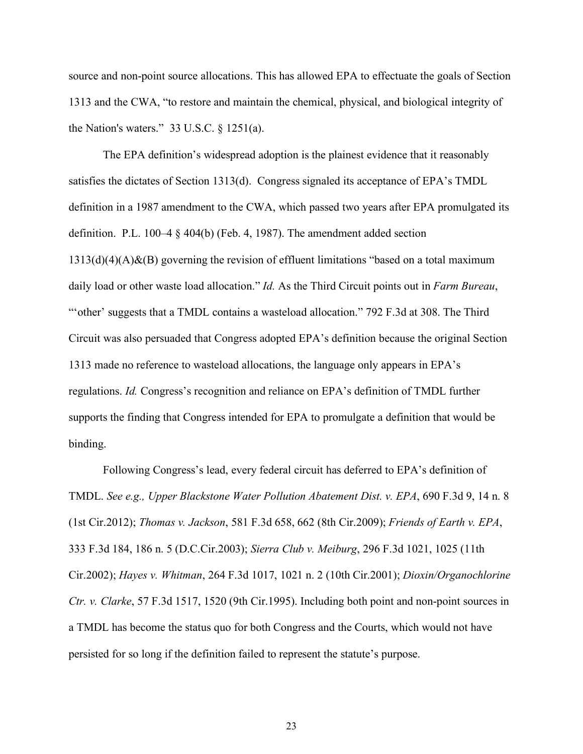source and non-point source allocations. This has allowed EPA to effectuate the goals of Section 1313 and the CWA, "to restore and maintain the chemical, physical, and biological integrity of the Nation's waters." 33 U.S.C.  $\S$  1251(a).

The EPA definition's widespread adoption is the plainest evidence that it reasonably satisfies the dictates of Section 1313(d). Congress signaled its acceptance of EPA's TMDL definition in a 1987 amendment to the CWA, which passed two years after EPA promulgated its definition. P.L. 100–4 § 404(b) (Feb. 4, 1987). The amendment added section  $1313(d)(4)(A)$ &(B) governing the revision of effluent limitations "based on a total maximum daily load or other waste load allocation." *Id.* As the Third Circuit points out in *Farm Bureau*, ""other' suggests that a TMDL contains a wasteload allocation." 792 F.3d at 308. The Third Circuit was also persuaded that Congress adopted EPA's definition because the original Section 1313 made no reference to wasteload allocations, the language only appears in EPA's regulations. *Id.* Congress's recognition and reliance on EPA's definition of TMDL further supports the finding that Congress intended for EPA to promulgate a definition that would be binding.

Following Congress's lead, every federal circuit has deferred to EPA's definition of TMDL. *See e.g., Upper Blackstone Water Pollution Abatement Dist. v. EPA*, 690 F.3d 9, 14 n. 8 (1st Cir.2012); *Thomas v. Jackson*, 581 F.3d 658, 662 (8th Cir.2009); *Friends of Earth v. EPA*, 333 F.3d 184, 186 n. 5 (D.C.Cir.2003); *Sierra Club v. Meiburg*, 296 F.3d 1021, 1025 (11th Cir.2002); *Hayes v. Whitman*, 264 F.3d 1017, 1021 n. 2 (10th Cir.2001); *Dioxin/Organochlorine Ctr. v. Clarke*, 57 F.3d 1517, 1520 (9th Cir.1995). Including both point and non-point sources in a TMDL has become the status quo for both Congress and the Courts, which would not have persisted for so long if the definition failed to represent the statute's purpose.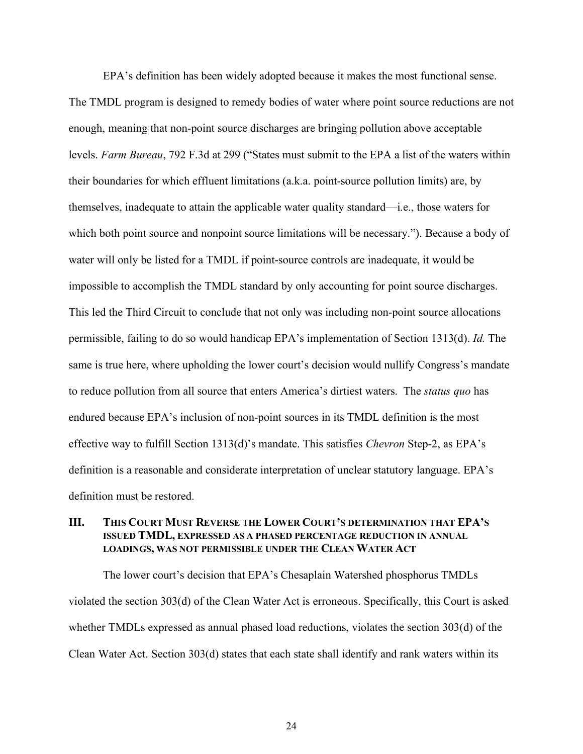EPA's definition has been widely adopted because it makes the most functional sense. The TMDL program is designed to remedy bodies of water where point source reductions are not enough, meaning that non-point source discharges are bringing pollution above acceptable levels. *Farm Bureau*, 792 F.3d at 299 ("States must submit to the EPA a list of the waters within their boundaries for which effluent limitations (a.k.a. point-source pollution limits) are, by themselves, inadequate to attain the applicable water quality standard—i.e., those waters for which both point source and nonpoint source limitations will be necessary."). Because a body of water will only be listed for a TMDL if point-source controls are inadequate, it would be impossible to accomplish the TMDL standard by only accounting for point source discharges. This led the Third Circuit to conclude that not only was including non-point source allocations permissible, failing to do so would handicap EPA's implementation of Section 1313(d). *Id.* The same is true here, where upholding the lower court's decision would nullify Congress's mandate to reduce pollution from all source that enters America's dirtiest waters. The *status quo* has endured because EPA's inclusion of non-point sources in its TMDL definition is the most effective way to fulfill Section 1313(d)'s mandate. This satisfies *Chevron* Step-2, as EPA's definition is a reasonable and considerate interpretation of unclear statutory language. EPA's definition must be restored.

#### **III. THIS COURT MUST REVERSE THE LOWER COURT'S DETERMINATION THAT EPA'S ISSUED TMDL, EXPRESSED AS A PHASED PERCENTAGE REDUCTION IN ANNUAL LOADINGS, WAS NOT PERMISSIBLE UNDER THE CLEAN WATER ACT**

The lower court's decision that EPA's Chesaplain Watershed phosphorus TMDLs violated the section 303(d) of the Clean Water Act is erroneous. Specifically, this Court is asked whether TMDLs expressed as annual phased load reductions, violates the section 303(d) of the Clean Water Act. Section 303(d) states that each state shall identify and rank waters within its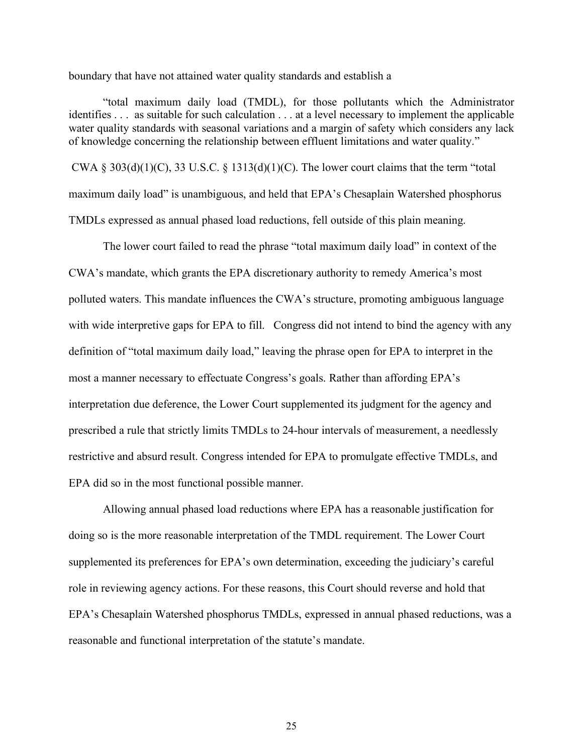boundary that have not attained water quality standards and establish a

"total maximum daily load (TMDL), for those pollutants which the Administrator identifies . . . as suitable for such calculation . . . at a level necessary to implement the applicable water quality standards with seasonal variations and a margin of safety which considers any lack of knowledge concerning the relationship between effluent limitations and water quality."

CWA § 303(d)(1)(C), 33 U.S.C. § 1313(d)(1)(C). The lower court claims that the term "total maximum daily load" is unambiguous, and held that EPA's Chesaplain Watershed phosphorus TMDLs expressed as annual phased load reductions, fell outside of this plain meaning.

The lower court failed to read the phrase "total maximum daily load" in context of the CWA's mandate, which grants the EPA discretionary authority to remedy America's most polluted waters. This mandate influences the CWA's structure, promoting ambiguous language with wide interpretive gaps for EPA to fill. Congress did not intend to bind the agency with any definition of "total maximum daily load," leaving the phrase open for EPA to interpret in the most a manner necessary to effectuate Congress's goals. Rather than affording EPA's interpretation due deference, the Lower Court supplemented its judgment for the agency and prescribed a rule that strictly limits TMDLs to 24-hour intervals of measurement, a needlessly restrictive and absurd result. Congress intended for EPA to promulgate effective TMDLs, and EPA did so in the most functional possible manner.

Allowing annual phased load reductions where EPA has a reasonable justification for doing so is the more reasonable interpretation of the TMDL requirement. The Lower Court supplemented its preferences for EPA's own determination, exceeding the judiciary's careful role in reviewing agency actions. For these reasons, this Court should reverse and hold that EPA's Chesaplain Watershed phosphorus TMDLs, expressed in annual phased reductions, was a reasonable and functional interpretation of the statute's mandate.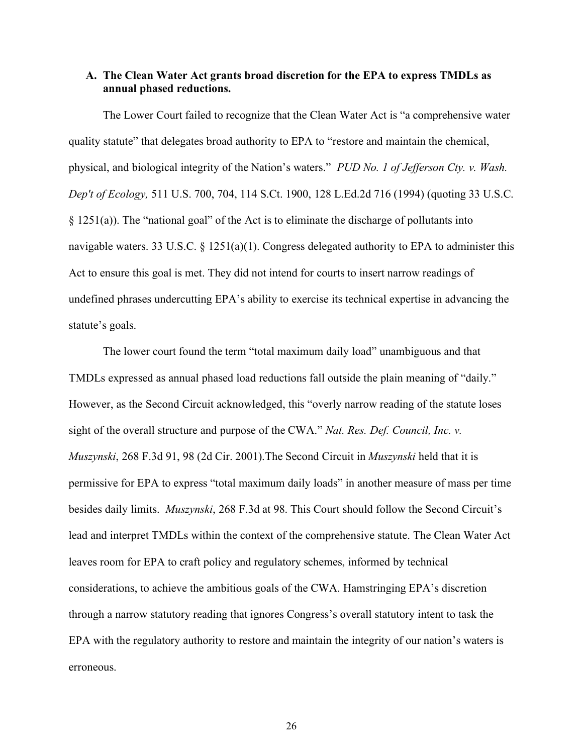#### **A. The Clean Water Act grants broad discretion for the EPA to express TMDLs as annual phased reductions.**

The Lower Court failed to recognize that the Clean Water Act is "a comprehensive water quality statute" that delegates broad authority to EPA to "restore and maintain the chemical, physical, and biological integrity of the Nation's waters." *PUD No. 1 of Jefferson Cty. v. Wash. Dep't of Ecology,* 511 U.S. 700, 704, 114 S.Ct. 1900, 128 L.Ed.2d 716 (1994) (quoting 33 U.S.C. § 1251(a)). The "national goal" of the Act is to eliminate the discharge of pollutants into navigable waters. 33 U.S.C. § 1251(a)(1). Congress delegated authority to EPA to administer this Act to ensure this goal is met. They did not intend for courts to insert narrow readings of undefined phrases undercutting EPA's ability to exercise its technical expertise in advancing the statute's goals.

The lower court found the term "total maximum daily load" unambiguous and that TMDLs expressed as annual phased load reductions fall outside the plain meaning of "daily." However, as the Second Circuit acknowledged, this "overly narrow reading of the statute loses sight of the overall structure and purpose of the CWA." *Nat. Res. Def. Council, Inc. v. Muszynski*, 268 F.3d 91, 98 (2d Cir. 2001).The Second Circuit in *Muszynski* held that it is permissive for EPA to express "total maximum daily loads" in another measure of mass per time besides daily limits. *Muszynski*, 268 F.3d at 98. This Court should follow the Second Circuit's lead and interpret TMDLs within the context of the comprehensive statute. The Clean Water Act leaves room for EPA to craft policy and regulatory schemes, informed by technical considerations, to achieve the ambitious goals of the CWA. Hamstringing EPA's discretion through a narrow statutory reading that ignores Congress's overall statutory intent to task the EPA with the regulatory authority to restore and maintain the integrity of our nation's waters is erroneous.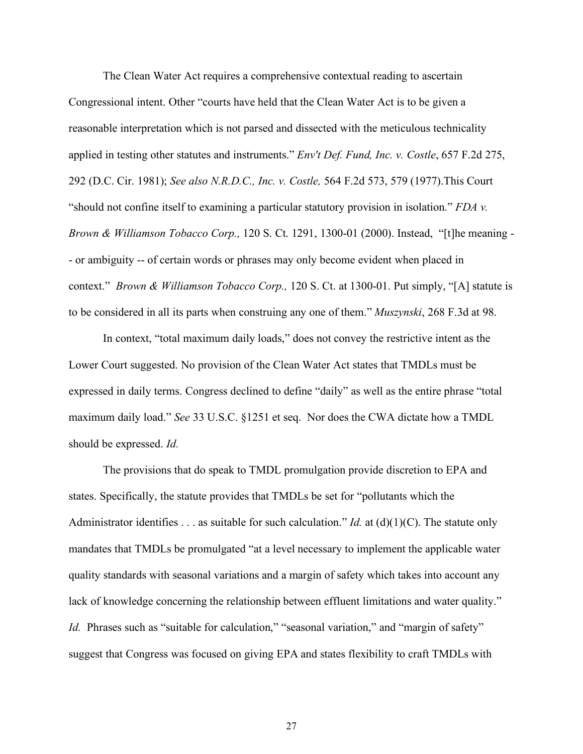The Clean Water Act requires a comprehensive contextual reading to ascertain Congressional intent. Other "courts have held that the Clean Water Act is to be given a reasonable interpretation which is not parsed and dissected with the meticulous technicality applied in testing other statutes and instruments." *Env't Def. Fund, Inc. v. Costle*, 657 F.2d 275, 292 (D.C. Cir. 1981); *See also N.R.D.C., Inc. v. Costle,* 564 F.2d 573, 579 (1977).This Court "should not confine itself to examining a particular statutory provision in isolation." *FDA v. Brown & Williamson Tobacco Corp.,* 120 S. Ct. 1291, 1300-01 (2000). Instead, "[t]he meaning - - or ambiguity -- of certain words or phrases may only become evident when placed in context." *Brown & Williamson Tobacco Corp.,* 120 S. Ct. at 1300-01. Put simply, "[A] statute is to be considered in all its parts when construing any one of them." *Muszynski*, 268 F.3d at 98.

In context, "total maximum daily loads," does not convey the restrictive intent as the Lower Court suggested. No provision of the Clean Water Act states that TMDLs must be expressed in daily terms. Congress declined to define "daily" as well as the entire phrase "total maximum daily load." *See* 33 U.S.C. §1251 et seq. Nor does the CWA dictate how a TMDL should be expressed. *Id.* 

The provisions that do speak to TMDL promulgation provide discretion to EPA and states. Specifically, the statute provides that TMDLs be set for "pollutants which the Administrator identifies . . . as suitable for such calculation." *Id.* at (d)(1)(C). The statute only mandates that TMDLs be promulgated "at a level necessary to implement the applicable water quality standards with seasonal variations and a margin of safety which takes into account any lack of knowledge concerning the relationship between effluent limitations and water quality." *Id.* Phrases such as "suitable for calculation," "seasonal variation," and "margin of safety" suggest that Congress was focused on giving EPA and states flexibility to craft TMDLs with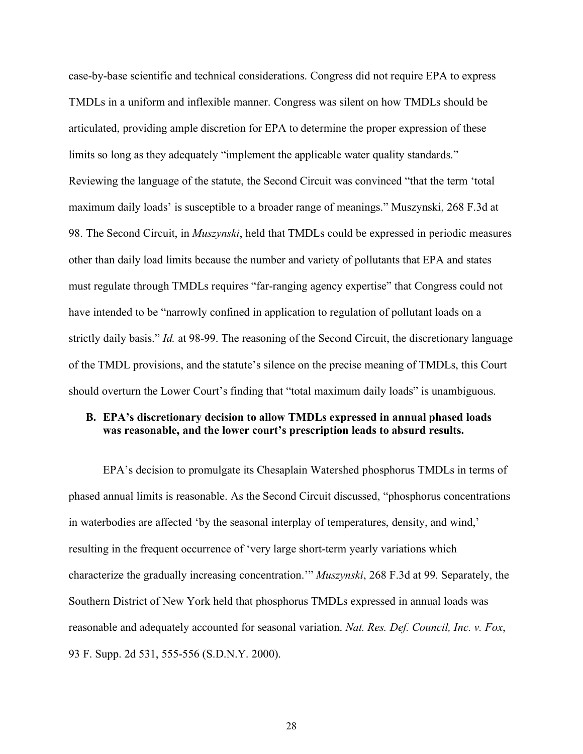case-by-base scientific and technical considerations. Congress did not require EPA to express TMDLs in a uniform and inflexible manner. Congress was silent on how TMDLs should be articulated, providing ample discretion for EPA to determine the proper expression of these limits so long as they adequately "implement the applicable water quality standards." Reviewing the language of the statute, the Second Circuit was convinced "that the term 'total maximum daily loads' is susceptible to a broader range of meanings." Muszynski, 268 F.3d at 98. The Second Circuit, in *Muszynski*, held that TMDLs could be expressed in periodic measures other than daily load limits because the number and variety of pollutants that EPA and states must regulate through TMDLs requires "far-ranging agency expertise" that Congress could not have intended to be "narrowly confined in application to regulation of pollutant loads on a strictly daily basis." *Id.* at 98-99. The reasoning of the Second Circuit, the discretionary language of the TMDL provisions, and the statute's silence on the precise meaning of TMDLs, this Court should overturn the Lower Court's finding that "total maximum daily loads" is unambiguous.

## **B. EPA's discretionary decision to allow TMDLs expressed in annual phased loads was reasonable, and the lower court's prescription leads to absurd results.**

EPA's decision to promulgate its Chesaplain Watershed phosphorus TMDLs in terms of phased annual limits is reasonable. As the Second Circuit discussed, "phosphorus concentrations in waterbodies are affected 'by the seasonal interplay of temperatures, density, and wind,' resulting in the frequent occurrence of 'very large short-term yearly variations which characterize the gradually increasing concentration.'" *Muszynski*, 268 F.3d at 99. Separately, the Southern District of New York held that phosphorus TMDLs expressed in annual loads was reasonable and adequately accounted for seasonal variation. *Nat. Res. Def. Council, Inc. v. Fox*, 93 F. Supp. 2d 531, 555-556 (S.D.N.Y. 2000).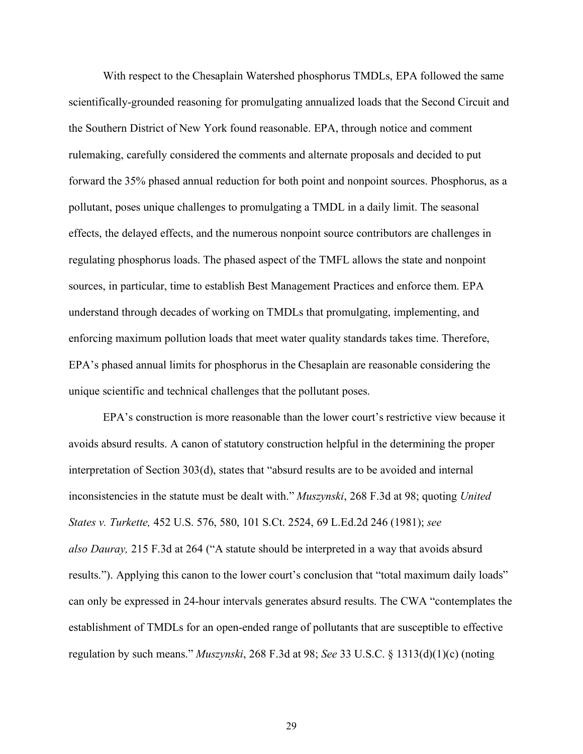With respect to the Chesaplain Watershed phosphorus TMDLs, EPA followed the same scientifically-grounded reasoning for promulgating annualized loads that the Second Circuit and the Southern District of New York found reasonable. EPA, through notice and comment rulemaking, carefully considered the comments and alternate proposals and decided to put forward the 35% phased annual reduction for both point and nonpoint sources. Phosphorus, as a pollutant, poses unique challenges to promulgating a TMDL in a daily limit. The seasonal effects, the delayed effects, and the numerous nonpoint source contributors are challenges in regulating phosphorus loads. The phased aspect of the TMFL allows the state and nonpoint sources, in particular, time to establish Best Management Practices and enforce them. EPA understand through decades of working on TMDLs that promulgating, implementing, and enforcing maximum pollution loads that meet water quality standards takes time. Therefore, EPA's phased annual limits for phosphorus in the Chesaplain are reasonable considering the unique scientific and technical challenges that the pollutant poses.

EPA's construction is more reasonable than the lower court's restrictive view because it avoids absurd results. A canon of statutory construction helpful in the determining the proper interpretation of Section 303(d), states that "absurd results are to be avoided and internal inconsistencies in the statute must be dealt with." *Muszynski*, 268 F.3d at 98; quoting *United States v. Turkette,* 452 U.S. 576, 580, 101 S.Ct. 2524, 69 L.Ed.2d 246 (1981); *see also Dauray,* 215 F.3d at 264 ("A statute should be interpreted in a way that avoids absurd results."). Applying this canon to the lower court's conclusion that "total maximum daily loads" can only be expressed in 24-hour intervals generates absurd results. The CWA "contemplates the establishment of TMDLs for an open-ended range of pollutants that are susceptible to effective regulation by such means." *Muszynski*, 268 F.3d at 98; *See* 33 U.S.C. § 1313(d)(1)(c) (noting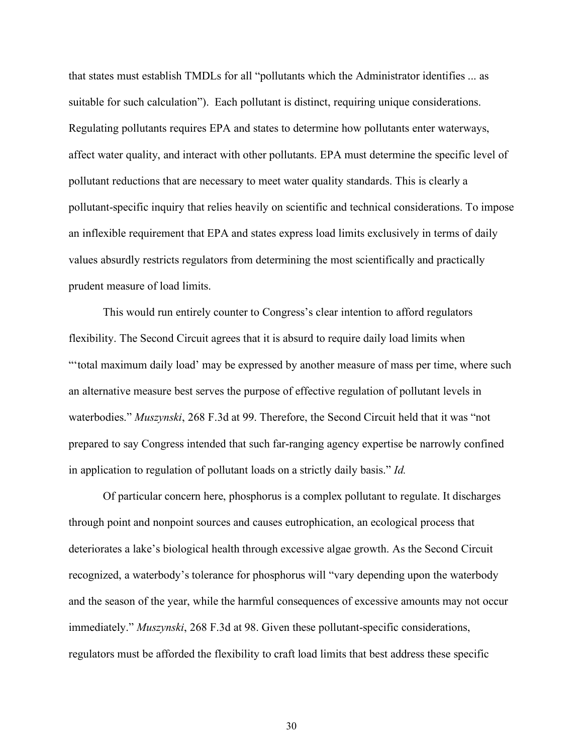that states must establish TMDLs for all "pollutants which the Administrator identifies ... as suitable for such calculation"). Each pollutant is distinct, requiring unique considerations. Regulating pollutants requires EPA and states to determine how pollutants enter waterways, affect water quality, and interact with other pollutants. EPA must determine the specific level of pollutant reductions that are necessary to meet water quality standards. This is clearly a pollutant-specific inquiry that relies heavily on scientific and technical considerations. To impose an inflexible requirement that EPA and states express load limits exclusively in terms of daily values absurdly restricts regulators from determining the most scientifically and practically prudent measure of load limits.

This would run entirely counter to Congress's clear intention to afford regulators flexibility. The Second Circuit agrees that it is absurd to require daily load limits when "'total maximum daily load' may be expressed by another measure of mass per time, where such an alternative measure best serves the purpose of effective regulation of pollutant levels in waterbodies." *Muszynski*, 268 F.3d at 99. Therefore, the Second Circuit held that it was "not prepared to say Congress intended that such far-ranging agency expertise be narrowly confined in application to regulation of pollutant loads on a strictly daily basis." *Id.* 

Of particular concern here, phosphorus is a complex pollutant to regulate. It discharges through point and nonpoint sources and causes eutrophication, an ecological process that deteriorates a lake's biological health through excessive algae growth. As the Second Circuit recognized, a waterbody's tolerance for phosphorus will "vary depending upon the waterbody and the season of the year, while the harmful consequences of excessive amounts may not occur immediately." *Muszynski*, 268 F.3d at 98. Given these pollutant-specific considerations, regulators must be afforded the flexibility to craft load limits that best address these specific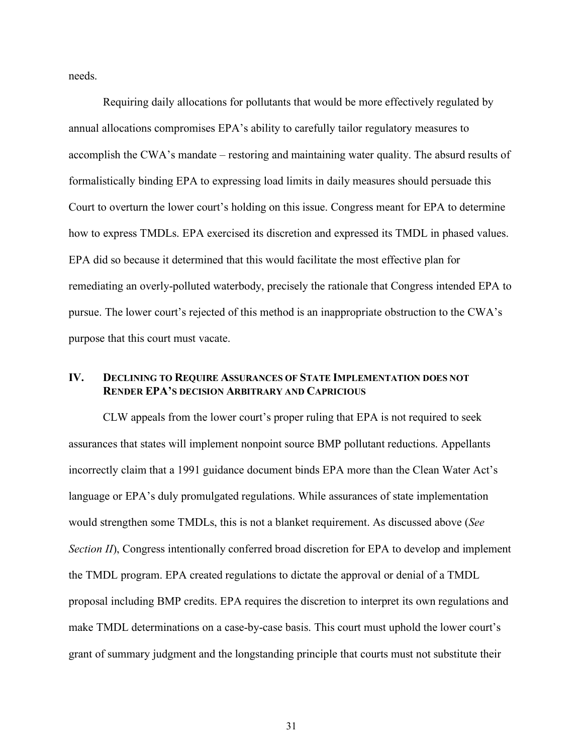needs.

Requiring daily allocations for pollutants that would be more effectively regulated by annual allocations compromises EPA's ability to carefully tailor regulatory measures to accomplish the CWA's mandate – restoring and maintaining water quality. The absurd results of formalistically binding EPA to expressing load limits in daily measures should persuade this Court to overturn the lower court's holding on this issue. Congress meant for EPA to determine how to express TMDLs. EPA exercised its discretion and expressed its TMDL in phased values. EPA did so because it determined that this would facilitate the most effective plan for remediating an overly-polluted waterbody, precisely the rationale that Congress intended EPA to pursue. The lower court's rejected of this method is an inappropriate obstruction to the CWA's purpose that this court must vacate.

## **IV. DECLINING TO REQUIRE ASSURANCES OF STATE IMPLEMENTATION DOES NOT RENDER EPA'S DECISION ARBITRARY AND CAPRICIOUS**

CLW appeals from the lower court's proper ruling that EPA is not required to seek assurances that states will implement nonpoint source BMP pollutant reductions. Appellants incorrectly claim that a 1991 guidance document binds EPA more than the Clean Water Act's language or EPA's duly promulgated regulations. While assurances of state implementation would strengthen some TMDLs, this is not a blanket requirement. As discussed above (*See Section II*), Congress intentionally conferred broad discretion for EPA to develop and implement the TMDL program. EPA created regulations to dictate the approval or denial of a TMDL proposal including BMP credits. EPA requires the discretion to interpret its own regulations and make TMDL determinations on a case-by-case basis. This court must uphold the lower court's grant of summary judgment and the longstanding principle that courts must not substitute their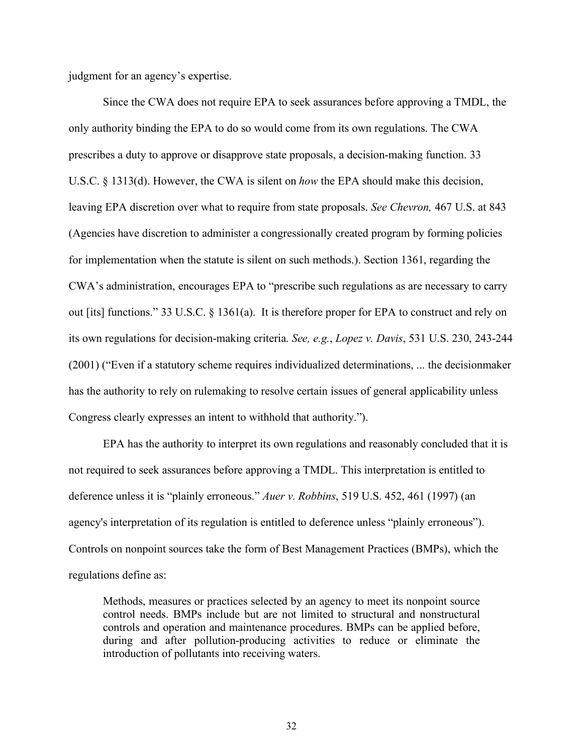judgment for an agency's expertise.

Since the CWA does not require EPA to seek assurances before approving a TMDL, the only authority binding the EPA to do so would come from its own regulations. The CWA prescribes a duty to approve or disapprove state proposals, a decision-making function. 33 U.S.C. § 1313(d). However, the CWA is silent on *how* the EPA should make this decision, leaving EPA discretion over what to require from state proposals. *See Chevron,* 467 U.S. at 843 (Agencies have discretion to administer a congressionally created program by forming policies for implementation when the statute is silent on such methods.). Section 1361, regarding the CWA's administration, encourages EPA to "prescribe such regulations as are necessary to carry out [its] functions." 33 U.S.C. § 1361(a). It is therefore proper for EPA to construct and rely on its own regulations for decision-making criteria. *See, e.g.*, *Lopez v. Davis*, 531 U.S. 230, 243-244 (2001) ("Even if a statutory scheme requires individualized determinations, ... the decisionmaker has the authority to rely on rulemaking to resolve certain issues of general applicability unless Congress clearly expresses an intent to withhold that authority.").

EPA has the authority to interpret its own regulations and reasonably concluded that it is not required to seek assurances before approving a TMDL. This interpretation is entitled to deference unless it is "plainly erroneous." *Auer v. Robbins*, 519 U.S. 452, 461 (1997) (an agency's interpretation of its regulation is entitled to deference unless "plainly erroneous"). Controls on nonpoint sources take the form of Best Management Practices (BMPs), which the regulations define as:

Methods, measures or practices selected by an agency to meet its nonpoint source control needs. BMPs include but are not limited to structural and nonstructural controls and operation and maintenance procedures. BMPs can be applied before, during and after pollution-producing activities to reduce or eliminate the introduction of pollutants into receiving waters.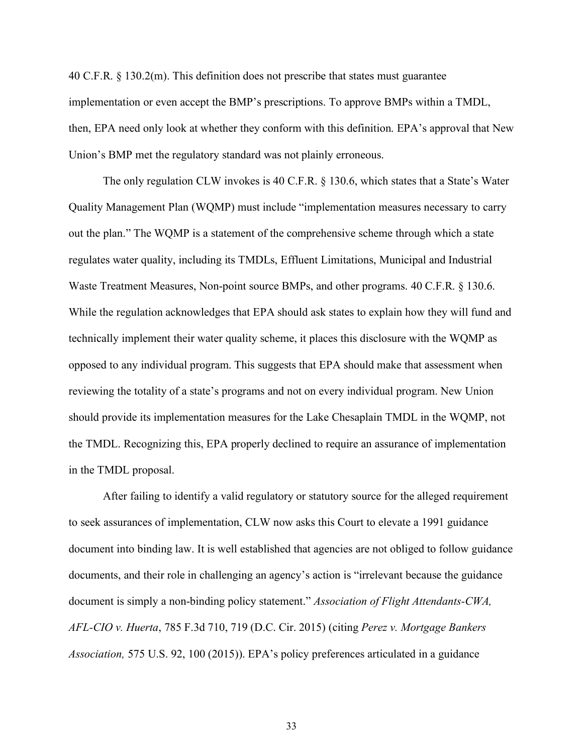40 C.F.R. § 130.2(m). This definition does not prescribe that states must guarantee implementation or even accept the BMP's prescriptions. To approve BMPs within a TMDL, then, EPA need only look at whether they conform with this definition. EPA's approval that New Union's BMP met the regulatory standard was not plainly erroneous.

The only regulation CLW invokes is 40 C.F.R. § 130.6, which states that a State's Water Quality Management Plan (WQMP) must include "implementation measures necessary to carry out the plan." The WQMP is a statement of the comprehensive scheme through which a state regulates water quality, including its TMDLs, Effluent Limitations, Municipal and Industrial Waste Treatment Measures, Non-point source BMPs, and other programs. 40 C.F.R. § 130.6. While the regulation acknowledges that EPA should ask states to explain how they will fund and technically implement their water quality scheme, it places this disclosure with the WQMP as opposed to any individual program. This suggests that EPA should make that assessment when reviewing the totality of a state's programs and not on every individual program. New Union should provide its implementation measures for the Lake Chesaplain TMDL in the WQMP, not the TMDL. Recognizing this, EPA properly declined to require an assurance of implementation in the TMDL proposal.

After failing to identify a valid regulatory or statutory source for the alleged requirement to seek assurances of implementation, CLW now asks this Court to elevate a 1991 guidance document into binding law. It is well established that agencies are not obliged to follow guidance documents, and their role in challenging an agency's action is "irrelevant because the guidance document is simply a non-binding policy statement." *Association of Flight Attendants-CWA, AFL-CIO v. Huerta*, 785 F.3d 710, 719 (D.C. Cir. 2015) (citing *Perez v. Mortgage Bankers Association,* 575 U.S. 92, 100 (2015)). EPA's policy preferences articulated in a guidance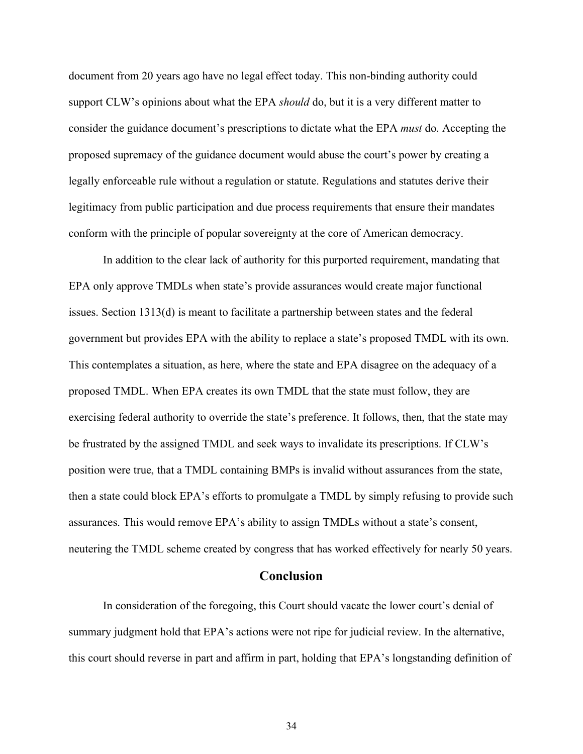document from 20 years ago have no legal effect today. This non-binding authority could support CLW's opinions about what the EPA *should* do, but it is a very different matter to consider the guidance document's prescriptions to dictate what the EPA *must* do. Accepting the proposed supremacy of the guidance document would abuse the court's power by creating a legally enforceable rule without a regulation or statute. Regulations and statutes derive their legitimacy from public participation and due process requirements that ensure their mandates conform with the principle of popular sovereignty at the core of American democracy.

In addition to the clear lack of authority for this purported requirement, mandating that EPA only approve TMDLs when state's provide assurances would create major functional issues. Section 1313(d) is meant to facilitate a partnership between states and the federal government but provides EPA with the ability to replace a state's proposed TMDL with its own. This contemplates a situation, as here, where the state and EPA disagree on the adequacy of a proposed TMDL. When EPA creates its own TMDL that the state must follow, they are exercising federal authority to override the state's preference. It follows, then, that the state may be frustrated by the assigned TMDL and seek ways to invalidate its prescriptions. If CLW's position were true, that a TMDL containing BMPs is invalid without assurances from the state, then a state could block EPA's efforts to promulgate a TMDL by simply refusing to provide such assurances. This would remove EPA's ability to assign TMDLs without a state's consent, neutering the TMDL scheme created by congress that has worked effectively for nearly 50 years.

## **Conclusion**

In consideration of the foregoing, this Court should vacate the lower court's denial of summary judgment hold that EPA's actions were not ripe for judicial review. In the alternative, this court should reverse in part and affirm in part, holding that EPA's longstanding definition of